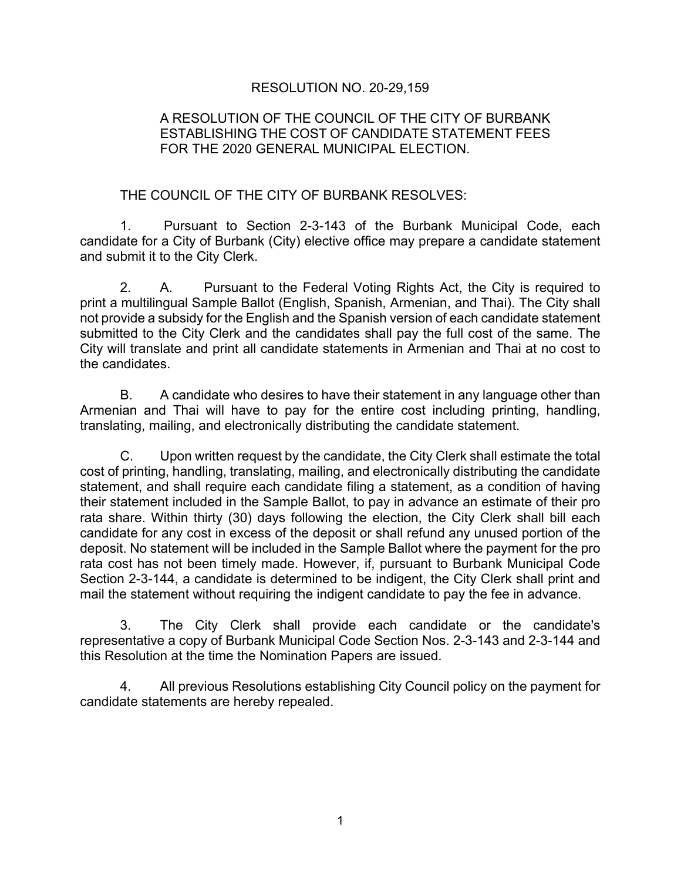## RESOLUTION NO. 20-29,159

## A RESOLUTION OF THE COUNCIL OF THE CITY OF BURBANK ESTABLISHING THE COST OF CANDIDATE STATEMENT FEES FOR THE 2020 GENERAL MUNICIPAL ELECTION.

## THE COUNCIL OF THE CITY OF BURBANK RESOLVES:

1. Pursuant to Section 2-3-143 of the Burbank Municipal Code, each candidate for a City of Burbank (City) elective office may prepare a candidate statement and submit it to the City Clerk.

2. A. Pursuant to the Federal Voting Rights Act, the City is required to print a multilingual Sample Ballot (English, Spanish, Armenian, and Thai). The City shall not provide a subsidy for the English and the Spanish version of each candidate statement submitted to the City Clerk and the candidates shall pay the full cost of the same. The City will translate and print all candidate statements in Armenian and Thai at no cost to the candidates.

B. A candidate who desires to have their statement in any language other than Armenian and Thai will have to pay for the entire cost including printing, handling, translating, mailing, and electronically distributing the candidate statement.

C. Upon written request by the candidate, the City Clerk shall estimate the total cost of printing, handling, translating, mailing, and electronically distributing the candidate statement, and shall require each candidate filing a statement, as a condition of having their statement included in the Sample Ballot, to pay in advance an estimate of their pro rata share. Within thirty (30) days following the election, the City Clerk shall bill each candidate for any cost in excess of the deposit or shall refund any unused portion of the deposit. No statement will be included in the Sample Ballot where the payment for the pro rata cost has not been timely made. However, if, pursuant to Burbank Municipal Code Section 2-3-144, a candidate is determined to be indigent, the City Clerk shall print and mail the statement without requiring the indigent candidate to pay the fee in advance.

3. The City Clerk shall provide each candidate or the candidate's representative a copy of Burbank Municipal Code Section Nos. 2-3-143 and 2-3-144 and this Resolution at the time the Nomination Papers are issued.

4. All previous Resolutions establishing City Council policy on the payment for candidate statements are hereby repealed.